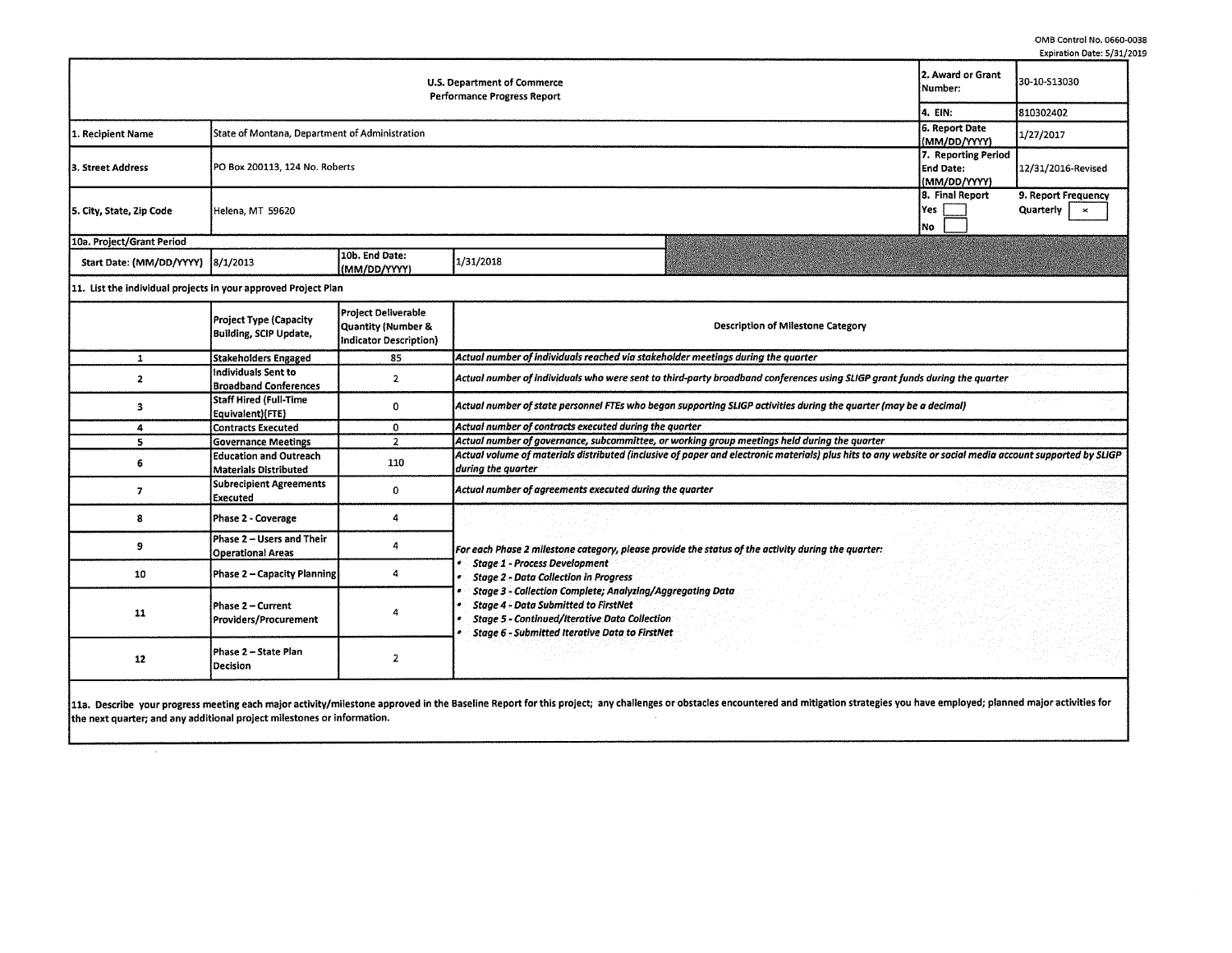|                                                                   |                                                |                                |           |                              |                                                         | Explicition Date, 373.                                    |
|-------------------------------------------------------------------|------------------------------------------------|--------------------------------|-----------|------------------------------|---------------------------------------------------------|-----------------------------------------------------------|
| U.S. Department of Commerce<br><b>Performance Progress Report</b> |                                                |                                |           | 2. Award or Grant<br>Number: | 30-10-S13030                                            |                                                           |
|                                                                   |                                                |                                |           |                              | 14. EIN:                                                | 810302402                                                 |
| 1. Recipient Name                                                 | State of Montana, Department of Administration |                                |           |                              | 6. Report Date<br>(MM/DD/YYYY)                          | 1/27/2017                                                 |
| 3. Street Address                                                 | PO Box 200113, 124 No. Roberts                 |                                |           |                              | 7. Reporting Period<br><b>End Date:</b><br>(MM/DD/YYYY) | 12/31/2016-Revised                                        |
| 5. City, State, Zip Code                                          | Helena, MT 59620                               |                                |           |                              | 8. Final Report<br> Yes  <br>INo.                       | 9. Report Frequency<br>Quarterly<br>$\boldsymbol{\times}$ |
| 10a. Project/Grant Period                                         |                                                |                                |           |                              |                                                         |                                                           |
| Start Date: (MM/DD/YYYY) 8/1/2013                                 |                                                | 10b. End Date:<br>(MM/DD/YYYY) | 1/31/2018 |                              |                                                         |                                                           |

11. List the individual projects in your approved Project Plan

 $\lambda$ 

|    | <b>Project Type (Capacity</b><br>Building, SCIP Update, | <b>Project Deliverable</b><br>Quantity (Number &<br>Indicator Description) | <b>Description of Milestone Category</b>                                                                                                                                                                                         |  |  |  |  |  |  |
|----|---------------------------------------------------------|----------------------------------------------------------------------------|----------------------------------------------------------------------------------------------------------------------------------------------------------------------------------------------------------------------------------|--|--|--|--|--|--|
|    | <b>Stakeholders Engaged</b>                             | 85                                                                         | Actual number of individuals reached via stakeholder meetings during the quarter                                                                                                                                                 |  |  |  |  |  |  |
|    | lindividuals Sent to<br><b>Broadband Conferences</b>    |                                                                            | Actual number of individuals who were sent to third-party broadband conferences using SLIGP grant funds during the quarter                                                                                                       |  |  |  |  |  |  |
|    | Staff Hired (Full-Time<br>Equivalent)(FTE)              |                                                                            | Actual number of state personnel FTEs who began supporting SLIGP activities during the quarter (may be a decimal)                                                                                                                |  |  |  |  |  |  |
|    | <b>Contracts Executed</b>                               | 0                                                                          | Actual number of contracts executed during the quarter                                                                                                                                                                           |  |  |  |  |  |  |
|    | <b>Governance Meetings</b>                              | $\mathbf{D}$                                                               | Actual number of governance, subcommittee, or working group meetings held during the quarter                                                                                                                                     |  |  |  |  |  |  |
|    | <b>Education and Outreach</b><br>Materials Distributed  | 110                                                                        | Actual volume of materials distributed (inclusive of paper and electronic materials) plus hits to any website or social media account supported by SLIGP<br>during the quarter                                                   |  |  |  |  |  |  |
|    | <b>Subrecipient Agreements</b><br>l Executed            |                                                                            | Actual number of agreements executed during the quarter                                                                                                                                                                          |  |  |  |  |  |  |
|    | Phase 2 - Coverage                                      |                                                                            |                                                                                                                                                                                                                                  |  |  |  |  |  |  |
|    | Phase 2 - Users and Their<br><b>Operational Areas</b>   |                                                                            | For each Phase 2 milestone category, please provide the status of the activity during the quarter:                                                                                                                               |  |  |  |  |  |  |
| 10 | Phase 2 - Capacity Planning                             |                                                                            | <b>Stage 1 - Process Development</b><br><b>Stage 2 - Data Collection in Progress</b>                                                                                                                                             |  |  |  |  |  |  |
| 11 | Phase 2 – Current<br>Providers/Procurement              |                                                                            | <b>Stage 3 - Collection Complete; Analyzing/Aggregating Data</b><br><b>Stage 4 - Data Submitted to FirstNet</b><br><b>Stage 5 - Continued/Iterative Data Collection</b><br><b>Stage 6 - Submitted Iterative Data to FirstNet</b> |  |  |  |  |  |  |
| 12 | Phase 2 - State Plan<br>l Decision                      |                                                                            |                                                                                                                                                                                                                                  |  |  |  |  |  |  |

11a. Describe your progress meeting each major activity/milestone approved in the Baseline Report for this project; any challenges or obstacles encountered and mitigation strategies you have employed; planned major activit the next quarter; and any additional project milestones or information.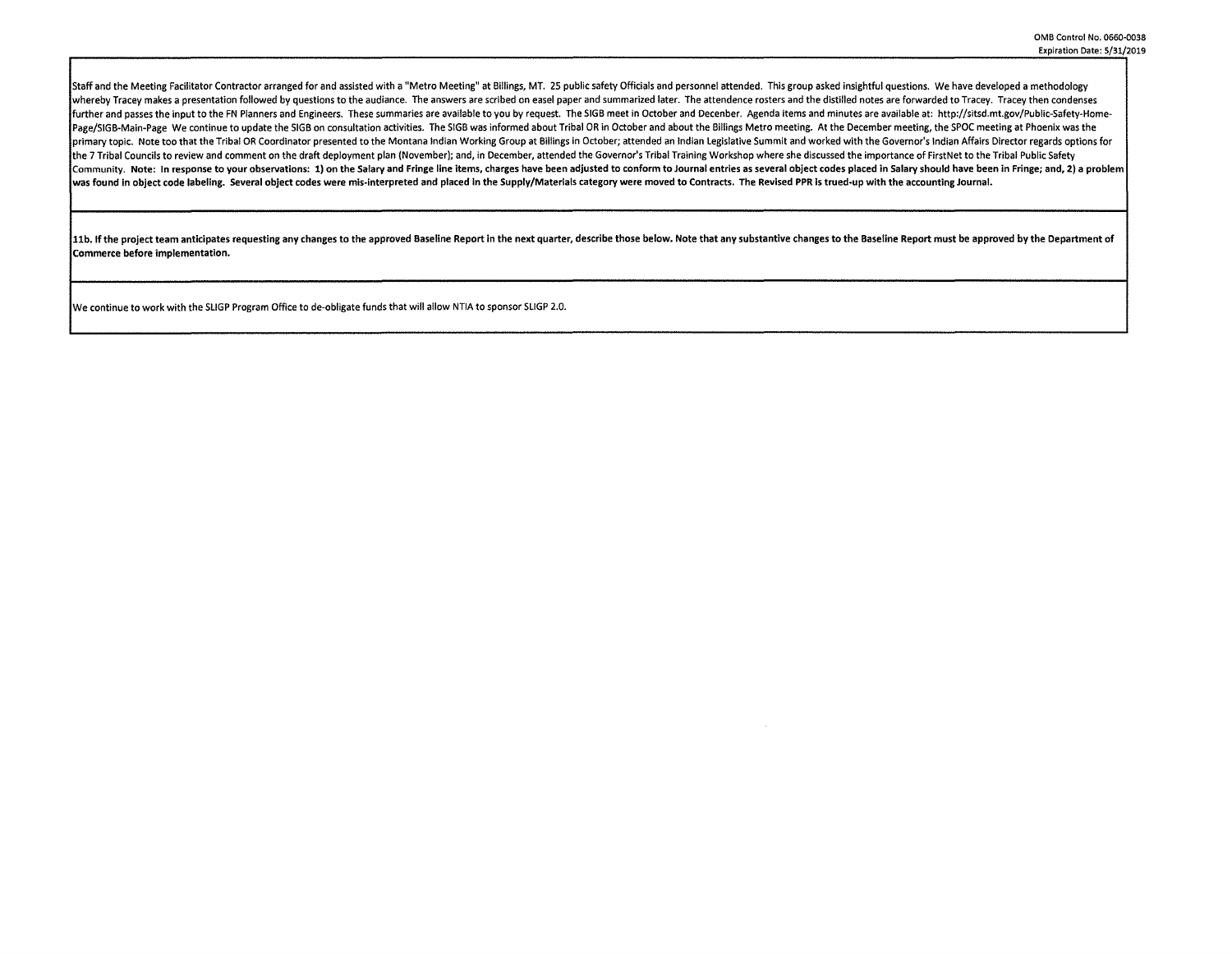Staff and the Meeting Facilitator Contractor arranged for and assisted with a "Metro Meeting" at Billings, MT. 25 public safety Officials and personnel attended. This group asked insightful questions. We have developed a m whereby Tracey makes a presentation followed by questions to the audiance. The answers are scribed on easel paper and summarized later. The attendence rosters and the distilled notes are forwarded to Tracey. Tracey then co further and passes the input to the FN Planners and Engineers. These summaries are available to you by request. The SIGB meet in October and Decenber. Agenda items and minutes are available at: http://sitsd.mt.gov/Public-S Page/SIGB-Main-Page We continue to update the SIGB on consultation activities. The SIGB was informed about Tribal OR in October and about the Billings Metro meeting. At the December meeting, the SPOC meeting at Phoenix was orimary topic. Note too that the Tribal OR Coordinator presented to the Montana Indian Working Group at Billings in October; attended an Indian Legislative Summit and worked with the Governor's Indian Affairs Director rega the 7 Tribal Councils to review and comment on the draft deployment plan (November); and. in December, attended the Governor's Tribal Training Workshop where she discussed the importance of FirstNet to the Tribal Public Sa Community. Note: In response to your observations: 1) on the Salary and Fringe line items, charges have been adjusted to conform to Journal entries as several object codes placed in Salary should have been in Fringe; and, was found in object code labeling. Several object codes were mis-interpreted and placed in the Supply/Materials category were moved to Contracts. The Revised PPR ls trued-up with the accounting Journal.

11b. If the project team anticipates requesting any changes to the approved Baseline Report in the next quarter, describe those below. Note that any substantive changes to the Baseline Report must be approved by the Depart Commerce before implementation.

We continue to work with the SLIGP Program Office to de-obligate funds that will allow NTIA to sponsor SLIGP 2.0.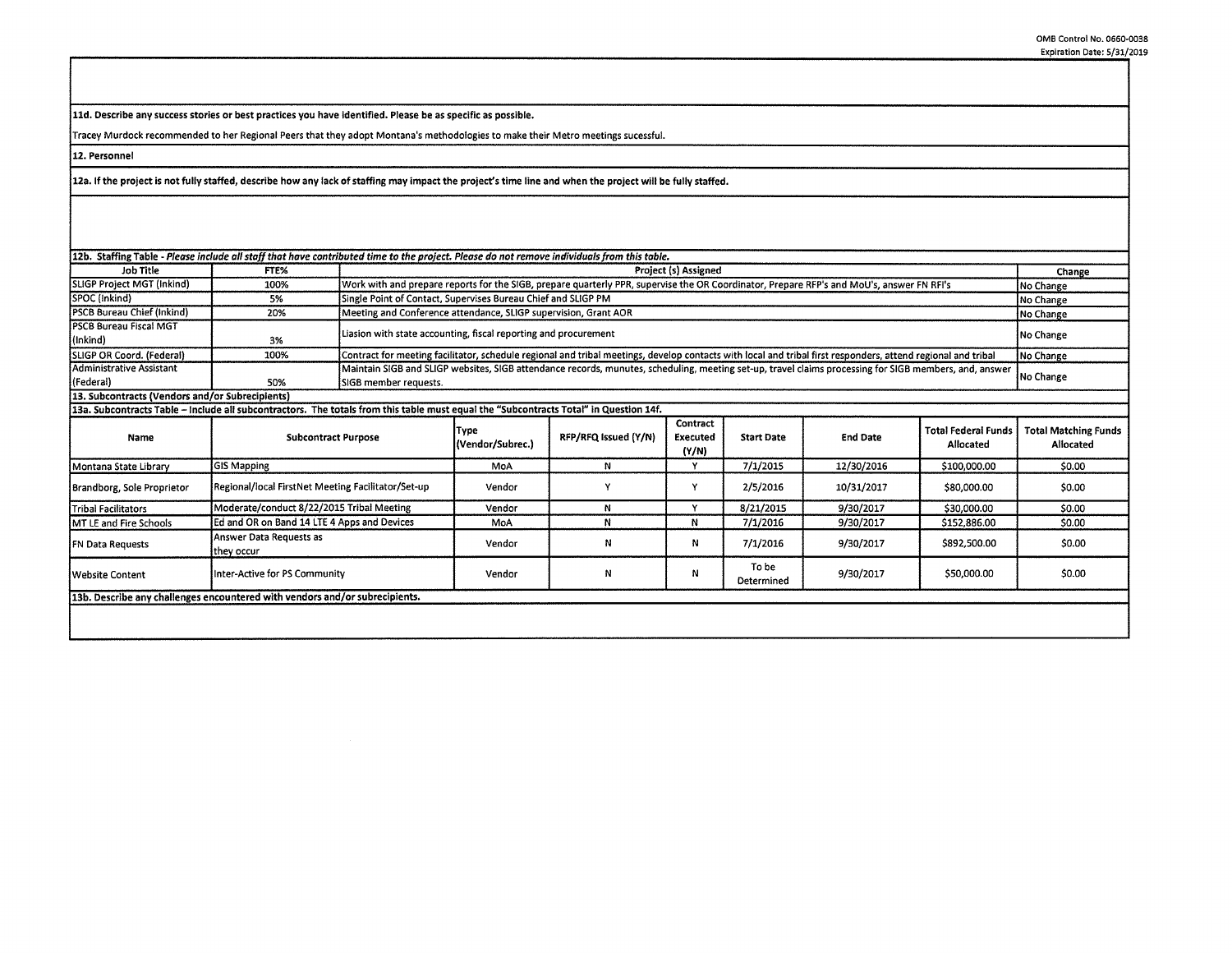**lld. Describe any success stories or best practices you have identified. Please be as specific as possible.** 

Tracey Murdock recommended to her Regional Peers that they adopt Montana's methodologies to make their Metro meetings sucessful.

**12. Personnel** 

**12a. If the project is not fully staffed, describe how any lack of staffing may impact the project's time line and when the project will be fully staffed.** 

| 12b. Staffing Table - Please include all staff that have contributed time to the project. Please do not remove individuals from this table. |                                                    |                                                               |                                                                                                                                                                           |                                                                                                                                           |                               |                     |                 |                                         |                                          |
|---------------------------------------------------------------------------------------------------------------------------------------------|----------------------------------------------------|---------------------------------------------------------------|---------------------------------------------------------------------------------------------------------------------------------------------------------------------------|-------------------------------------------------------------------------------------------------------------------------------------------|-------------------------------|---------------------|-----------------|-----------------------------------------|------------------------------------------|
| Job Title                                                                                                                                   | FTE%                                               |                                                               | <b>Project (s) Assigned</b>                                                                                                                                               |                                                                                                                                           |                               |                     |                 |                                         |                                          |
| SLIGP Project MGT (Inkind)                                                                                                                  | 100%                                               |                                                               |                                                                                                                                                                           | Work with and prepare reports for the SIGB, prepare quarterly PPR, supervise the OR Coordinator, Prepare RFP's and MoU's, answer FN RFI's |                               |                     |                 |                                         | No Change                                |
| SPOC (Inkind)                                                                                                                               | 5%                                                 | Single Point of Contact, Supervises Bureau Chief and SLIGP PM |                                                                                                                                                                           |                                                                                                                                           |                               |                     |                 |                                         | No Change                                |
| PSCB Bureau Chief (Inkind)                                                                                                                  | 20%                                                |                                                               | Meeting and Conference attendance, SLIGP supervision, Grant AOR<br>No Change                                                                                              |                                                                                                                                           |                               |                     |                 |                                         |                                          |
| lPSCB Bureau Fiscal MGT<br>(Inkind)                                                                                                         | 3%                                                 |                                                               | Liasion with state accounting, fiscal reporting and procurement<br>No Change                                                                                              |                                                                                                                                           |                               |                     |                 |                                         |                                          |
| SLIGP OR Coord. (Federal)                                                                                                                   | 100%                                               |                                                               | Contract for meeting facilitator, schedule regional and tribal meetings, develop contacts with local and tribal first responders, attend regional and tribal<br>No Change |                                                                                                                                           |                               |                     |                 |                                         |                                          |
| Administrative Assistant<br>(Federal)                                                                                                       | 50%                                                | SIGB member requests.                                         | Maintain SIGB and SLIGP websites, SIGB attendance records, munutes, scheduling, meeting set-up, travel claims processing for SIGB members, and, answer<br>No Change       |                                                                                                                                           |                               |                     |                 |                                         |                                          |
| 13. Subcontracts (Vendors and/or Subrecipients)                                                                                             |                                                    |                                                               |                                                                                                                                                                           |                                                                                                                                           |                               |                     |                 |                                         |                                          |
| 13a. Subcontracts Table – include all subcontractors. The totals from this table must equal the "Subcontracts Total" in Question 14f.       |                                                    |                                                               |                                                                                                                                                                           |                                                                                                                                           |                               |                     |                 |                                         |                                          |
| Name                                                                                                                                        | <b>Subcontract Purpose</b>                         |                                                               | Type<br>(Vendor/Subrec.)                                                                                                                                                  | RFP/RFQ Issued (Y/N)                                                                                                                      | Contract<br>Executed<br>(Y/N) | <b>Start Date</b>   | <b>End Date</b> | <b>Total Federal Funds</b><br>Allocated | <b>Total Matching Funds</b><br>Allocated |
| Montana State Library                                                                                                                       | <b>GIS Mapping</b>                                 |                                                               | MoA                                                                                                                                                                       | N                                                                                                                                         | v                             | 7/1/2015            | 12/30/2016      | \$100,000.00                            | \$0.00                                   |
| Brandborg, Sole Proprietor                                                                                                                  | Regional/local FirstNet Meeting Facilitator/Set-up |                                                               | Vendor                                                                                                                                                                    |                                                                                                                                           | ٧                             | 2/5/2016            | 10/31/2017      | \$80,000.00                             | \$0.00                                   |
| Tribal Facilitators                                                                                                                         | Moderate/conduct 8/22/2015 Tribal Meeting          |                                                               | Vendor                                                                                                                                                                    | N                                                                                                                                         | v                             | 8/21/2015           | 9/30/2017       | \$30,000.00                             | \$0.00                                   |
| MT LE and Fire Schools                                                                                                                      | Ed and OR on Band 14 LTE 4 Apps and Devices        |                                                               | MoA                                                                                                                                                                       | N                                                                                                                                         | N                             | 7/1/2016            | 9/30/2017       | \$152,886.00                            | \$0.00                                   |
| FN Data Requests                                                                                                                            | Answer Data Requests as<br>they occur              |                                                               | Vendor                                                                                                                                                                    | N                                                                                                                                         | Ν                             | 7/1/2016            | 9/30/2017       | \$892,500.00                            | \$0.00                                   |
| lWebsite Content                                                                                                                            | Inter-Active for PS Community                      |                                                               | Vendor                                                                                                                                                                    | N                                                                                                                                         | N                             | To be<br>Determined | 9/30/2017       | \$50,000.00                             | \$0.00                                   |

**13b. Describe any challenges encountered with vendors and/or subrecipients.**